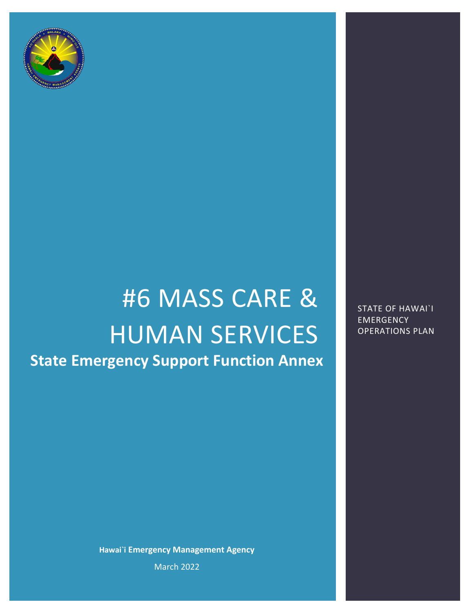

# #6 MASS CARE & HUMAN SERVICES **State Emergency Support Function Annex**

**Hawai`i Emergency Management Agency** March 2022

STATE OF HAWAI`I **EMERGENCY** OPERATIONS PLAN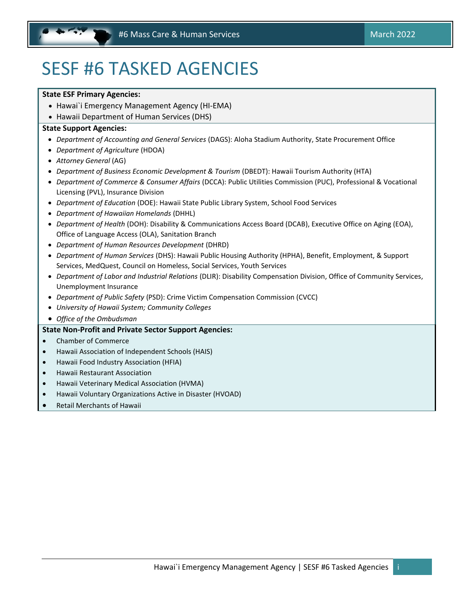# <span id="page-1-0"></span>SESF #6 TASKED AGENCIES

### **State ESF Primary Agencies:**

- Hawai`i Emergency Management Agency (HI-EMA)
- Hawaii Department of Human Services (DHS)

### **State Support Agencies:**

- *Department of Accounting and General Services* (DAGS): Aloha Stadium Authority, State Procurement Office
- *Department of Agriculture* (HDOA)
- *Attorney General* (AG)
- *Department of Business Economic Development & Tourism* (DBEDT): Hawaii Tourism Authority (HTA)
- *Department of Commerce & Consumer Affairs* (DCCA): Public Utilities Commission (PUC), Professional & Vocational Licensing (PVL), Insurance Division
- *Department of Education* (DOE): Hawaii State Public Library System, School Food Services
- *Department of Hawaiian Homelands* (DHHL)
- *Department of Health* (DOH): Disability & Communications Access Board (DCAB), Executive Office on Aging (EOA), Office of Language Access (OLA), Sanitation Branch
- *Department of Human Resources Development* (DHRD)
- *Department of Human Services* (DHS): Hawaii Public Housing Authority (HPHA), Benefit, Employment, & Support Services, MedQuest, Council on Homeless, Social Services, Youth Services
- *Department of Labor and Industrial Relations* (DLIR): Disability Compensation Division, Office of Community Services, Unemployment Insurance
- *Department of Public Safety* (PSD): Crime Victim Compensation Commission (CVCC)
- *University of Hawaii System; Community Colleges*
- *Office of the Ombudsman*

# **State Non-Profit and Private Sector Support Agencies:**

- Chamber of Commerce
- Hawaii Association of Independent Schools (HAIS)
- Hawaii Food Industry Association (HFIA)
- Hawaii Restaurant Association
- Hawaii Veterinary Medical Association (HVMA)
- Hawaii Voluntary Organizations Active in Disaster (HVOAD)
- Retail Merchants of Hawaii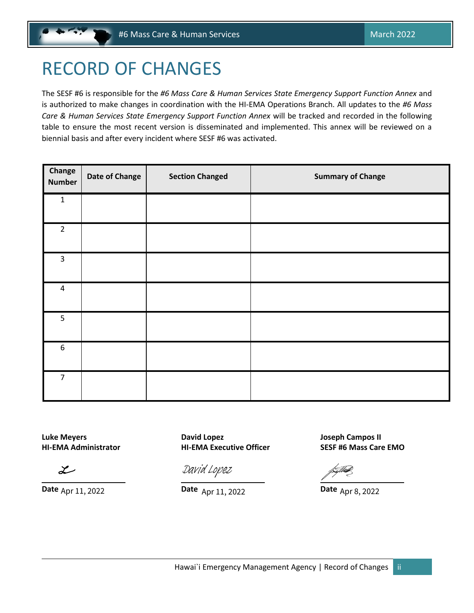# <span id="page-2-0"></span>RECORD OF CHANGES

The SESF #6 is responsible for the *#6 Mass Care & Human Services State Emergency Support Function Annex* and is authorized to make changes in coordination with the HI-EMA Operations Branch. All updates to the *#6 Mass Care & Human Services State Emergency Support Function Annex* will be tracked and recorded in the following table to ensure the most recent version is disseminated and implemented. This annex will be reviewed on a biennial basis and after every incident where SESF #6 was activated.

| Change<br><b>Number</b> | Date of Change | <b>Section Changed</b> | <b>Summary of Change</b> |
|-------------------------|----------------|------------------------|--------------------------|
| $\mathbf 1$             |                |                        |                          |
| $\overline{2}$          |                |                        |                          |
| $\mathbf{3}$            |                |                        |                          |
| $\pmb{4}$               |                |                        |                          |
| 5                       |                |                        |                          |
| $\boldsymbol{6}$        |                |                        |                          |
| $\overline{7}$          |                |                        |                          |

 $\mathcal{L}$ 

**Luke Meyers David Lopez Joseph Campos II HI-EMA Administrator HI-EMA Executive Officer SESF #6 Mass Care EMO**

**[David Lopez](https://stateofhawaii.na1.adobesign.com/verifier?tx=CBJCHBCAABAAcRYw4JzLmGBLXYOoauA3PkJ9Hb4Ol1UD)**<br>
Date Apr 11, 2022<br>
Date Apr 11, 2022<br>
Date Apr 8, 2022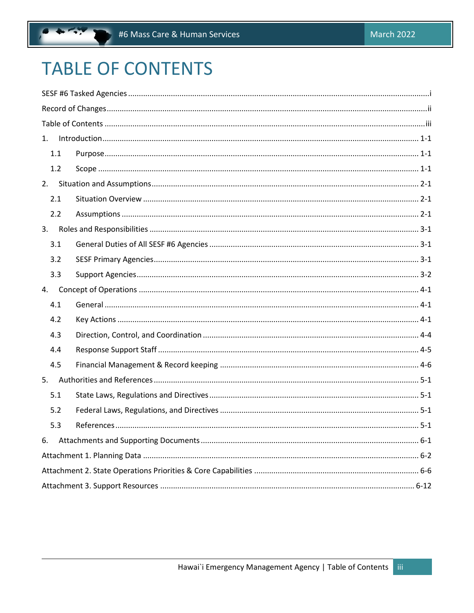# **TABLE OF CONTENTS**

| 1.  |  |  |  |
|-----|--|--|--|
| 1.1 |  |  |  |
| 1.2 |  |  |  |
|     |  |  |  |
| 2.1 |  |  |  |
| 2.2 |  |  |  |
|     |  |  |  |
| 3.1 |  |  |  |
| 3.2 |  |  |  |
| 3.3 |  |  |  |
|     |  |  |  |
| 4.1 |  |  |  |
| 4.2 |  |  |  |
| 4.3 |  |  |  |
| 4.4 |  |  |  |
| 4.5 |  |  |  |
|     |  |  |  |
| 5.1 |  |  |  |
| 5.2 |  |  |  |
| 5.3 |  |  |  |
| 6.  |  |  |  |
|     |  |  |  |
|     |  |  |  |
|     |  |  |  |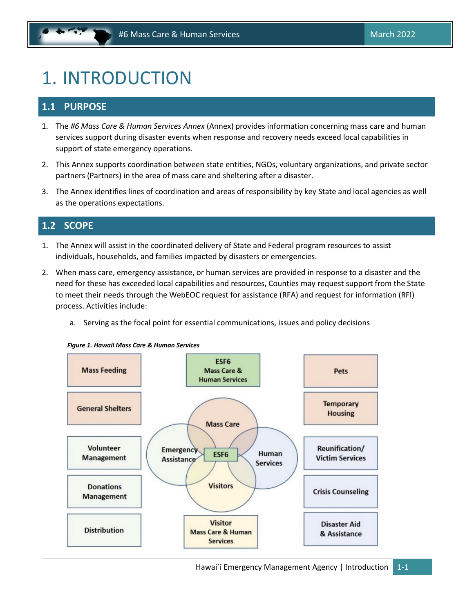# <span id="page-4-0"></span>1. INTRODUCTION

# **1.1 PURPOSE**

- 1. The *#6 Mass Care & Human Services Annex* (Annex) provides information concerning mass care and human services support during disaster events when response and recovery needs exceed local capabilities in support of state emergency operations.
- 2. This Annex supports coordination between state entities, NGOs, voluntary organizations, and private sector partners (Partners) in the area of mass care and sheltering after a disaster.
- 3. The Annex identifies lines of coordination and areas of responsibility by key State and local agencies as well as the operations expectations.

# **1.2 SCOPE**

- 1. The Annex will assist in the coordinated delivery of State and Federal program resources to assist individuals, households, and families impacted by disasters or emergencies.
- 2. When mass care, emergency assistance, or human services are provided in response to a disaster and the need for these has exceeded local capabilities and resources, Counties may request support from the State to meet their needs through the WebEOC request for assistance (RFA) and request for information (RFI) process. Activities include:
	- a. Serving as the focal point for essential communications, issues and policy decisions



*Figure 1. Hawaii Mass Care & Human Services*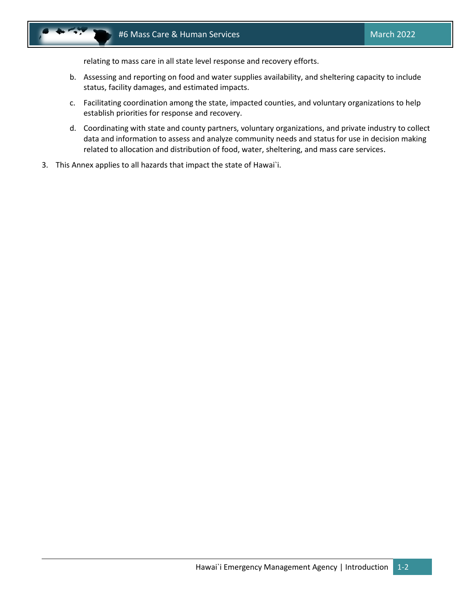

relating to mass care in all state level response and recovery efforts.

- b. Assessing and reporting on food and water supplies availability, and sheltering capacity to include status, facility damages, and estimated impacts.
- c. Facilitating coordination among the state, impacted counties, and voluntary organizations to help establish priorities for response and recovery.
- d. Coordinating with state and county partners, voluntary organizations, and private industry to collect data and information to assess and analyze community needs and status for use in decision making related to allocation and distribution of food, water, sheltering, and mass care services.
- 3. This Annex applies to all hazards that impact the state of Hawai`i.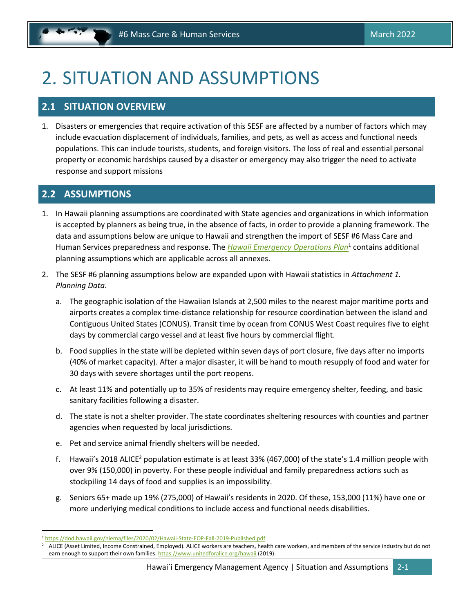# <span id="page-6-0"></span>2. SITUATION AND ASSUMPTIONS

# **2.1 SITUATION OVERVIEW**

1. Disasters or emergencies that require activation of this SESF are affected by a number of factors which may include evacuation displacement of individuals, families, and pets, as well as access and functional needs populations. This can include tourists, students, and foreign visitors. The loss of real and essential personal property or economic hardships caused by a disaster or emergency may also trigger the need to activate response and support missions

# **2.2 ASSUMPTIONS**

- 1. In Hawaii planning assumptions are coordinated with State agencies and organizations in which information is accepted by planners as being true, in the absence of facts, in order to provide a planning framework. The data and assumptions below are unique to Hawaii and strengthen the import of SESF #6 Mass Care and Human Services preparedness and response. The *[Hawaii Emergency Operations Plan](https://dod.hawaii.gov/hiema/files/2020/02/Hawaii-State-EOP-Fall-2019-Published.pdf)*<sup>1</sup> contains additional planning assumptions which are applicable across all annexes.
- 2. The SESF #6 planning assumptions below are expanded upon with Hawaii statistics in *Attachment 1. Planning Data*.
	- a. The geographic isolation of the Hawaiian Islands at 2,500 miles to the nearest major maritime ports and airports creates a complex time‐distance relationship for resource coordination between the island and Contiguous United States (CONUS). Transit time by ocean from CONUS West Coast requires five to eight days by commercial cargo vessel and at least five hours by commercial flight.
	- b. Food supplies in the state will be depleted within seven days of port closure, five days after no imports (40% of market capacity). After a major disaster, it will be hand to mouth resupply of food and water for 30 days with severe shortages until the port reopens.
	- c. At least 11% and potentially up to 35% of residents may require emergency shelter, feeding, and basic sanitary facilities following a disaster.
	- d. The state is not a shelter provider. The state coordinates sheltering resources with counties and partner agencies when requested by local jurisdictions.
	- e. Pet and service animal friendly shelters will be needed.
	- f. Hawaii's 2018 ALICE<sup>2</sup> population estimate is at least 33% (467,000) of the state's 1.4 million people with over 9% (150,000) in poverty. For these people individual and family preparedness actions such as stockpiling 14 days of food and supplies is an impossibility.
	- g. Seniors 65+ made up 19% (275,000) of Hawaii's residents in 2020. Of these, 153,000 (11%) have one or more underlying medical conditions to include access and functional needs disabilities.

<sup>1</sup> <https://dod.hawaii.gov/hiema/files/2020/02/Hawaii-State-EOP-Fall-2019-Published.pdf>

<sup>2</sup> ALICE (Asset Limited, Income Constrained, Employed). ALICE workers are teachers, health care workers, and members of the service industry but do not earn enough to support their own families. <https://www.unitedforalice.org/hawaii> (2019).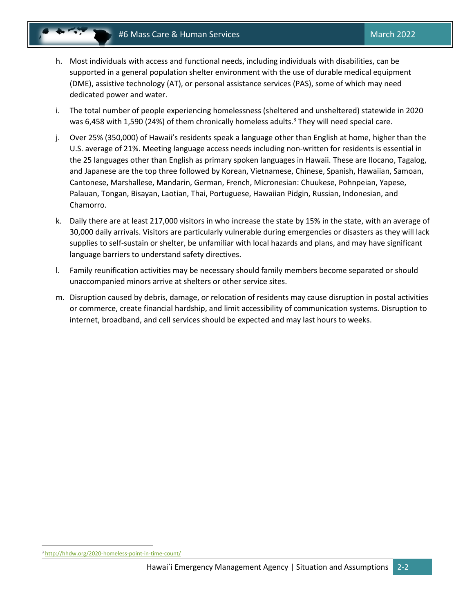- h. Most individuals with access and functional needs, including individuals with disabilities, can be supported in a general population shelter environment with the use of durable medical equipment (DME), assistive technology (AT), or personal assistance services (PAS), some of which may need dedicated power and water.
- i. The total number of people experiencing homelessness (sheltered and unsheltered) statewide in 2020 was 6,458 with 1,590 (24%) of them chronically homeless adults.<sup>3</sup> They will need special care.
- j. Over 25% (350,000) of Hawaii's residents speak a language other than English at home, higher than the U.S. average of 21%. Meeting language access needs including non-written for residents is essential in the 25 languages other than English as primary spoken languages in Hawaii. These are Ilocano, Tagalog, and Japanese are the top three followed by Korean, Vietnamese, Chinese, Spanish, Hawaiian, Samoan, Cantonese, Marshallese, Mandarin, German, French, Micronesian: Chuukese, Pohnpeian, Yapese, Palauan, Tongan, Bisayan, Laotian, Thai, Portuguese, Hawaiian Pidgin, Russian, Indonesian, and Chamorro.
- k. Daily there are at least 217,000 visitors in who increase the state by 15% in the state, with an average of 30,000 daily arrivals. Visitors are particularly vulnerable during emergencies or disasters as they will lack supplies to self‐sustain or shelter, be unfamiliar with local hazards and plans, and may have significant language barriers to understand safety directives.
- l. Family reunification activities may be necessary should family members become separated or should unaccompanied minors arrive at shelters or other service sites.
- m. Disruption caused by debris, damage, or relocation of residents may cause disruption in postal activities or commerce, create financial hardship, and limit accessibility of communication systems. Disruption to internet, broadband, and cell services should be expected and may last hours to weeks.

<sup>3</sup> <http://hhdw.org/2020-homeless-point-in-time-count/>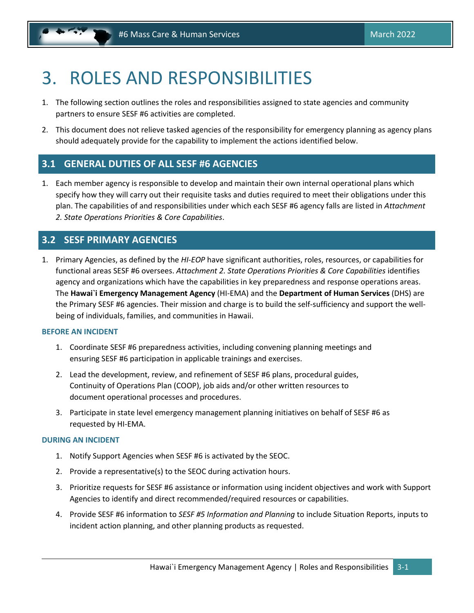# <span id="page-8-0"></span>3. ROLES AND RESPONSIBILITIES

- 1. The following section outlines the roles and responsibilities assigned to state agencies and community partners to ensure SESF #6 activities are completed.
- 2. This document does not relieve tasked agencies of the responsibility for emergency planning as agency plans should adequately provide for the capability to implement the actions identified below.

# **3.1 GENERAL DUTIES OF ALL SESF #6 AGENCIES**

1. Each member agency is responsible to develop and maintain their own internal operational plans which specify how they will carry out their requisite tasks and duties required to meet their obligations under this plan. The capabilities of and responsibilities under which each SESF #6 agency falls are listed in *Attachment 2. State Operations Priorities & Core Capabilities*.

# **3.2 SESF PRIMARY AGENCIES**

1. Primary Agencies, as defined by the *HI-EOP* have significant authorities, roles, resources, or capabilities for functional areas SESF #6 oversees. *Attachment 2. State Operations Priorities & Core Capabilities* identifies agency and organizations which have the capabilities in key preparedness and response operations areas. The **Hawai`i Emergency Management Agency** (HI-EMA) and the **Department of Human Services** (DHS) are the Primary SESF #6 agencies. Their mission and charge is to build the self-sufficiency and support the wellbeing of individuals, families, and communities in Hawaii.

# **BEFORE AN INCIDENT**

- 1. Coordinate SESF #6 preparedness activities, including convening planning meetings and ensuring SESF #6 participation in applicable trainings and exercises.
- 2. Lead the development, review, and refinement of SESF #6 plans, procedural guides, Continuity of Operations Plan (COOP), job aids and/or other written resources to document operational processes and procedures.
- 3. Participate in state level emergency management planning initiatives on behalf of SESF #6 as requested by HI-EMA.

### **DURING AN INCIDENT**

- 1. Notify Support Agencies when SESF #6 is activated by the SEOC.
- 2. Provide a representative(s) to the SEOC during activation hours.
- 3. Prioritize requests for SESF #6 assistance or information using incident objectives and work with Support Agencies to identify and direct recommended/required resources or capabilities.
- 4. Provide SESF #6 information to *SESF #5 Information and Planning* to include Situation Reports, inputs to incident action planning, and other planning products as requested.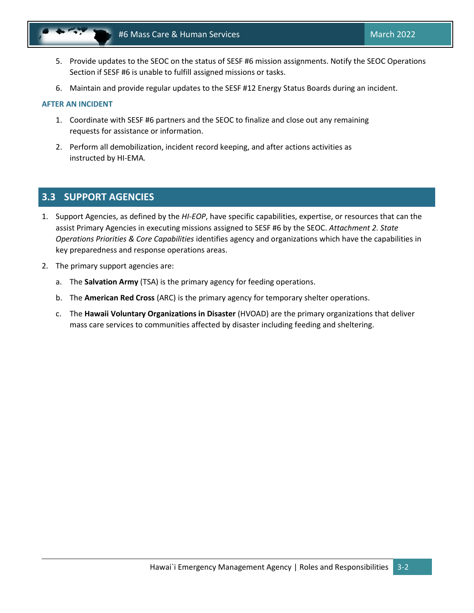<span id="page-9-0"></span>

- 5. Provide updates to the SEOC on the status of SESF #6 mission assignments. Notify the SEOC Operations Section if SESF #6 is unable to fulfill assigned missions or tasks.
- 6. Maintain and provide regular updates to the SESF #12 Energy Status Boards during an incident.

## **AFTER AN INCIDENT**

- 1. Coordinate with SESF #6 partners and the SEOC to finalize and close out any remaining requests for assistance or information.
- 2. Perform all demobilization, incident record keeping, and after actions activities as instructed by HI-EMA*.*

# **3.3 SUPPORT AGENCIES**

- 1. Support Agencies, as defined by the *HI-EOP*, have specific capabilities, expertise, or resources that can the assist Primary Agencies in executing missions assigned to SESF #6 by the SEOC. *Attachment 2. State Operations Priorities & Core Capabilities* identifies agency and organizations which have the capabilities in key preparedness and response operations areas.
- 2. The primary support agencies are:
	- a. The **Salvation Army** (TSA) is the primary agency for feeding operations.
	- b. The **American Red Cross** (ARC) is the primary agency for temporary shelter operations.
	- c. The **Hawaii Voluntary Organizations in Disaster** (HVOAD) are the primary organizations that deliver mass care services to communities affected by disaster including feeding and sheltering.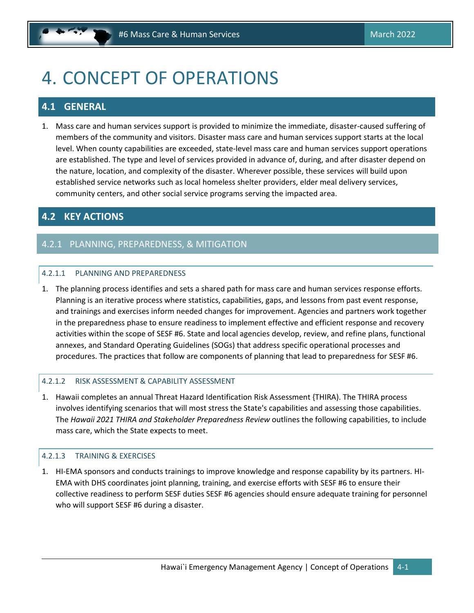# <span id="page-10-0"></span>4. CONCEPT OF OPERATIONS

# **4.1 GENERAL**

1. Mass care and human services support is provided to minimize the immediate, disaster-caused suffering of members of the community and visitors. Disaster mass care and human services support starts at the local level. When county capabilities are exceeded, state-level mass care and human services support operations are established. The type and level of services provided in advance of, during, and after disaster depend on the nature, location, and complexity of the disaster. Wherever possible, these services will build upon established service networks such as local homeless shelter providers, elder meal delivery services, community centers, and other social service programs serving the impacted area.

# **4.2 KEY ACTIONS**

# 4.2.1 PLANNING, PREPAREDNESS, & MITIGATION

## 4.2.1.1 PLANNING AND PREPAREDNESS

1. The planning process identifies and sets a shared path for mass care and human services response efforts. Planning is an iterative process where statistics, capabilities, gaps, and lessons from past event response, and trainings and exercises inform needed changes for improvement. Agencies and partners work together in the preparedness phase to ensure readiness to implement effective and efficient response and recovery activities within the scope of SESF #6. State and local agencies develop, review, and refine plans, functional annexes, and Standard Operating Guidelines (SOGs) that address specific operational processes and procedures. The practices that follow are components of planning that lead to preparedness for SESF #6.

### 4.2.1.2 RISK ASSESSMENT & CAPABILITY ASSESSMENT

1. Hawaii completes an annual Threat Hazard Identification Risk Assessment {THIRA). The THIRA process involves identifying scenarios that will most stress the State's capabilities and assessing those capabilities. The *Hawaii 2021 THIRA and Stakeholder Preparedness Review* outlines the following capabilities, to include mass care, which the State expects to meet.

# 4.2.1.3 TRAINING & EXERCISES

1. HI-EMA sponsors and conducts trainings to improve knowledge and response capability by its partners. HI-EMA with DHS coordinates joint planning, training, and exercise efforts with SESF #6 to ensure their collective readiness to perform SESF duties SESF #6 agencies should ensure adequate training for personnel who will support SESF #6 during a disaster.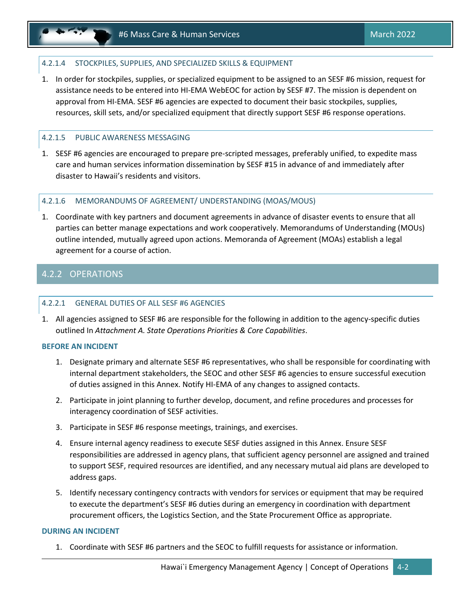# 4.2.1.4 STOCKPILES, SUPPLIES, AND SPECIALIZED SKILLS & EQUIPMENT

1. In order for stockpiles, supplies, or specialized equipment to be assigned to an SESF #6 mission, request for assistance needs to be entered into HI-EMA WebEOC for action by SESF #7. The mission is dependent on approval from HI-EMA. SESF #6 agencies are expected to document their basic stockpiles, supplies, resources, skill sets, and/or specialized equipment that directly support SESF #6 response operations.

### 4.2.1.5 PUBLIC AWARENESS MESSAGING

1. SESF #6 agencies are encouraged to prepare pre-scripted messages, preferably unified, to expedite mass care and human services information dissemination by SESF #15 in advance of and immediately after disaster to Hawaii's residents and visitors.

## 4.2.1.6 MEMORANDUMS OF AGREEMENT/ UNDERSTANDING (MOAS/MOUS)

1. Coordinate with key partners and document agreements in advance of disaster events to ensure that all parties can better manage expectations and work cooperatively. Memorandums of Understanding (MOUs) outline intended, mutually agreed upon actions. Memoranda of Agreement (MOAs) establish a legal agreement for a course of action.

# 4.2.2 OPERATIONS

### 4.2.2.1 GENERAL DUTIES OF ALL SESF #6 AGENCIES

1. All agencies assigned to SESF #6 are responsible for the following in addition to the agency-specific duties outlined In *Attachment A. State Operations Priorities & Core Capabilities*.

### **BEFORE AN INCIDENT**

- 1. Designate primary and alternate SESF #6 representatives, who shall be responsible for coordinating with internal department stakeholders, the SEOC and other SESF #6 agencies to ensure successful execution of duties assigned in this Annex. Notify HI-EMA of any changes to assigned contacts.
- 2. Participate in joint planning to further develop, document, and refine procedures and processes for interagency coordination of SESF activities.
- 3. Participate in SESF #6 response meetings, trainings, and exercises.
- 4. Ensure internal agency readiness to execute SESF duties assigned in this Annex. Ensure SESF responsibilities are addressed in agency plans, that sufficient agency personnel are assigned and trained to support SESF, required resources are identified, and any necessary mutual aid plans are developed to address gaps.
- 5. Identify necessary contingency contracts with vendors for services or equipment that may be required to execute the department's SESF #6 duties during an emergency in coordination with department procurement officers, the Logistics Section, and the State Procurement Office as appropriate.

### **DURING AN INCIDENT**

1. Coordinate with SESF #6 partners and the SEOC to fulfill requests for assistance or information.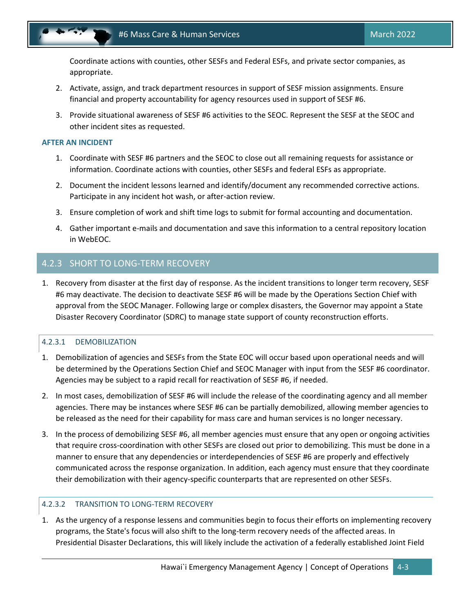

Coordinate actions with counties, other SESFs and Federal ESFs, and private sector companies, as appropriate.

- 2. Activate, assign, and track department resources in support of SESF mission assignments. Ensure financial and property accountability for agency resources used in support of SESF #6.
- 3. Provide situational awareness of SESF #6 activities to the SEOC. Represent the SESF at the SEOC and other incident sites as requested.

#### **AFTER AN INCIDENT**

- 1. Coordinate with SESF #6 partners and the SEOC to close out all remaining requests for assistance or information. Coordinate actions with counties, other SESFs and federal ESFs as appropriate.
- 2. Document the incident lessons learned and identify/document any recommended corrective actions. Participate in any incident hot wash, or after-action review.
- 3. Ensure completion of work and shift time logs to submit for formal accounting and documentation.
- 4. Gather important e-mails and documentation and save this information to a central repository location in WebEOC.

# 4.2.3 SHORT TO LONG-TERM RECOVERY

1. Recovery from disaster at the first day of response. As the incident transitions to longer term recovery, SESF #6 may deactivate. The decision to deactivate SESF #6 will be made by the Operations Section Chief with approval from the SEOC Manager. Following large or complex disasters, the Governor may appoint a State Disaster Recovery Coordinator (SDRC) to manage state support of county reconstruction efforts.

# 4.2.3.1 DEMOBILIZATION

- 1. Demobilization of agencies and SESFs from the State EOC will occur based upon operational needs and will be determined by the Operations Section Chief and SEOC Manager with input from the SESF #6 coordinator. Agencies may be subject to a rapid recall for reactivation of SESF #6, if needed.
- 2. In most cases, demobilization of SESF #6 will include the release of the coordinating agency and all member agencies. There may be instances where SESF #6 can be partially demobilized, allowing member agencies to be released as the need for their capability for mass care and human services is no longer necessary.
- 3. In the process of demobilizing SESF #6, all member agencies must ensure that any open or ongoing activities that require cross-coordination with other SESFs are closed out prior to demobilizing. This must be done in a manner to ensure that any dependencies or interdependencies of SESF #6 are properly and effectively communicated across the response organization. In addition, each agency must ensure that they coordinate their demobilization with their agency-specific counterparts that are represented on other SESFs.

## 4.2.3.2 TRANSITION TO LONG-TERM RECOVERY

1. As the urgency of a response lessens and communities begin to focus their efforts on implementing recovery programs, the State's focus will also shift to the long-term recovery needs of the affected areas. In Presidential Disaster Declarations, this will likely include the activation of a federally established Joint Field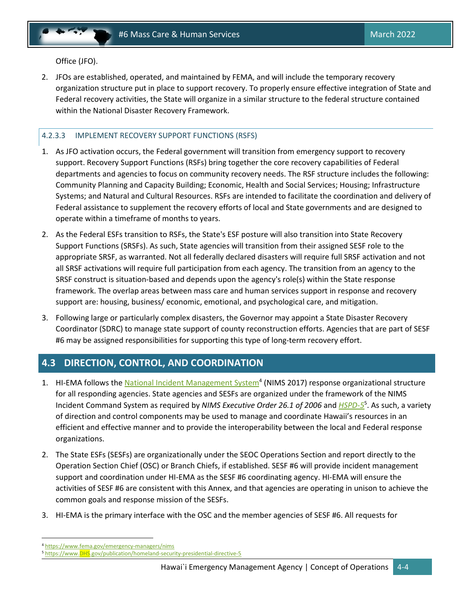<span id="page-13-0"></span>Office (JFO).

2. JFOs are established, operated, and maintained by FEMA, and will include the temporary recovery organization structure put in place to support recovery. To properly ensure effective integration of State and Federal recovery activities, the State will organize in a similar structure to the federal structure contained within the National Disaster Recovery Framework.

# 4.2.3.3 IMPLEMENT RECOVERY SUPPORT FUNCTIONS (RSFS)

- 1. As JFO activation occurs, the Federal government will transition from emergency support to recovery support. Recovery Support Functions (RSFs) bring together the core recovery capabilities of Federal departments and agencies to focus on community recovery needs. The RSF structure includes the following: Community Planning and Capacity Building; Economic, Health and Social Services; Housing; Infrastructure Systems; and Natural and Cultural Resources. RSFs are intended to facilitate the coordination and delivery of Federal assistance to supplement the recovery efforts of local and State governments and are designed to operate within a timeframe of months to years.
- 2. As the Federal ESFs transition to RSFs, the State's ESF posture will also transition into State Recovery Support Functions (SRSFs). As such, State agencies will transition from their assigned SESF role to the appropriate SRSF, as warranted. Not all federally declared disasters will require full SRSF activation and not all SRSF activations will require full participation from each agency. The transition from an agency to the SRSF construct is situation-based and depends upon the agency's role(s) within the State response framework. The overlap areas between mass care and human services support in response and recovery support are: housing, business/ economic, emotional, and psychological care, and mitigation.
- 3. Following large or particularly complex disasters, the Governor may appoint a State Disaster Recovery Coordinator (SDRC) to manage state support of county reconstruction efforts. Agencies that are part of SESF #6 may be assigned responsibilities for supporting this type of long-term recovery effort.

# **4.3 DIRECTION, CONTROL, AND COORDINATION**

- 1. HI-EMA follows the **National Incident Management System**<sup>4</sup> (NIMS 2017) response organizational structure for all responding agencies. State agencies and SESFs are organized under the framework of the NIMS Incident Command System as required by *NIMS Executive Order 26.1 of 2006* and *[HSPD-5](https://www.dhs.gov/publication/homeland-security-presidential-directive-5)* 5 . As such, a variety of direction and control components may be used to manage and coordinate Hawaii's resources in an efficient and effective manner and to provide the interoperability between the local and Federal response organizations.
- 2. The State ESFs (SESFs) are organizationally under the SEOC Operations Section and report directly to the Operation Section Chief (OSC) or Branch Chiefs, if established. SESF #6 will provide incident management support and coordination under HI-EMA as the SESF #6 coordinating agency. HI-EMA will ensure the activities of SESF #6 are consistent with this Annex, and that agencies are operating in unison to achieve the common goals and response mission of the SESFs.
- 3. HI-EMA is the primary interface with the OSC and the member agencies of SESF #6. All requests for

<sup>4</sup> <https://www.fema.gov/emergency-managers/nims>

<sup>5</sup> [https://www.DHS.gov/publication/homeland-security-presidential-directive-5](https://www.dhs.gov/publication/homeland-security-presidential-directive-5)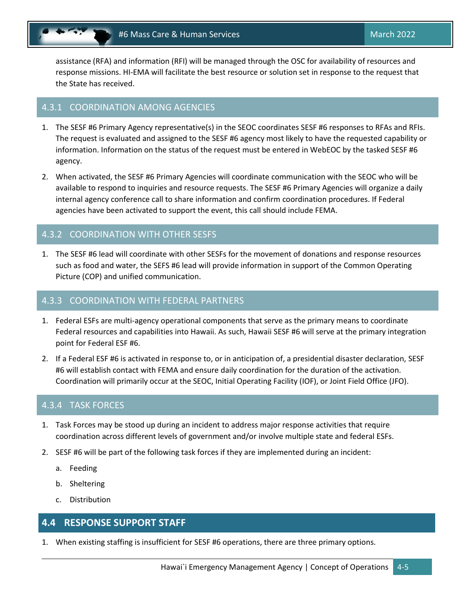<span id="page-14-0"></span>assistance (RFA) and information (RFI) will be managed through the OSC for availability of resources and response missions. HI-EMA will facilitate the best resource or solution set in response to the request that the State has received.

# 4.3.1 COORDINATION AMONG AGENCIES

- 1. The SESF #6 Primary Agency representative(s) in the SEOC coordinates SESF #6 responses to RFAs and RFIs. The request is evaluated and assigned to the SESF #6 agency most likely to have the requested capability or information. Information on the status of the request must be entered in WebEOC by the tasked SESF #6 agency.
- 2. When activated, the SESF #6 Primary Agencies will coordinate communication with the SEOC who will be available to respond to inquiries and resource requests. The SESF #6 Primary Agencies will organize a daily internal agency conference call to share information and confirm coordination procedures. If Federal agencies have been activated to support the event, this call should include FEMA.

# 4.3.2 COORDINATION WITH OTHER SESFS

1. The SESF #6 lead will coordinate with other SESFs for the movement of donations and response resources such as food and water, the SEFS #6 lead will provide information in support of the Common Operating Picture (COP) and unified communication.

## 4.3.3 COORDINATION WITH FEDERAL PARTNERS

- 1. Federal ESFs are multi-agency operational components that serve as the primary means to coordinate Federal resources and capabilities into Hawaii. As such, Hawaii SESF #6 will serve at the primary integration point for Federal ESF #6.
- 2. If a Federal ESF #6 is activated in response to, or in anticipation of, a presidential disaster declaration, SESF #6 will establish contact with FEMA and ensure daily coordination for the duration of the activation. Coordination will primarily occur at the SEOC, Initial Operating Facility (IOF), or Joint Field Office (JFO).

# 4.3.4 TASK FORCES

- 1. Task Forces may be stood up during an incident to address major response activities that require coordination across different levels of government and/or involve multiple state and federal ESFs.
- 2. SESF #6 will be part of the following task forces if they are implemented during an incident:
	- a. Feeding
	- b. Sheltering
	- c. Distribution

# **4.4 RESPONSE SUPPORT STAFF**

1. When existing staffing is insufficient for SESF #6 operations, there are three primary options.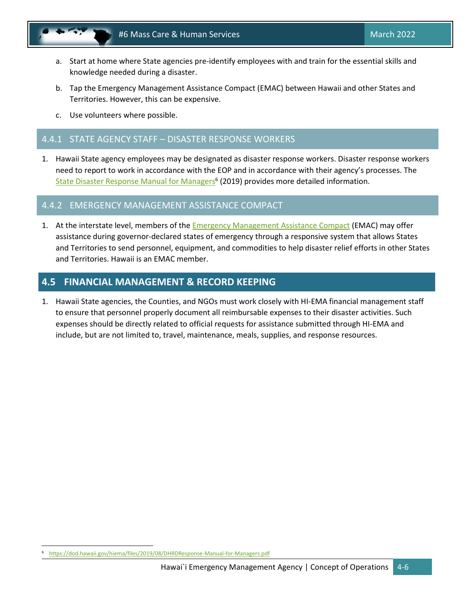<span id="page-15-0"></span>

- a. Start at home where State agencies pre-identify employees with and train for the essential skills and knowledge needed during a disaster.
- b. Tap the Emergency Management Assistance Compact (EMAC) between Hawaii and other States and Territories. However, this can be expensive.
- c. Use volunteers where possible.

# 4.4.1 STATE AGENCY STAFF – DISASTER RESPONSE WORKERS

1. Hawaii State agency employees may be designated as disaster response workers. Disaster response workers need to report to work in accordance with the EOP and in accordance with their agency's processes. The [State Disaster Response Manual for Managers](https://dod.hawaii.gov/hiema/files/2019/08/DHRDResponse-Manual-for-Managers.pdf)<sup>6</sup> (2019) provides more detailed information.

# 4.4.2 EMERGENCY MANAGEMENT ASSISTANCE COMPACT

1. At the interstate level, members of th[e Emergency Management Assistance Compact](https://www.emacweb.org/) (EMAC) may offer assistance during governor-declared states of emergency through a responsive system that allows States and Territories to send personnel, equipment, and commodities to help disaster relief efforts in other States and Territories. Hawaii is an EMAC member.

# **4.5 FINANCIAL MANAGEMENT & RECORD KEEPING**

1. Hawaii State agencies, the Counties, and NGOs must work closely with HI-EMA financial management staff to ensure that personnel properly document all reimbursable expenses to their disaster activities. Such expenses should be directly related to official requests for assistance submitted through HI-EMA and include, but are not limited to, travel, maintenance, meals, supplies, and response resources.

<https://dod.hawaii.gov/hiema/files/2019/08/DHRDResponse-Manual-for-Managers.pdf>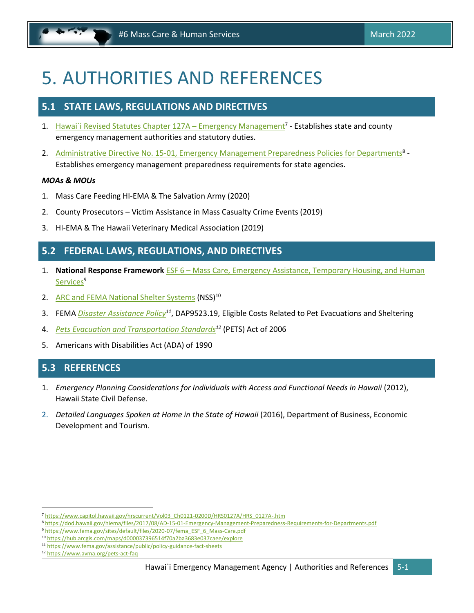# <span id="page-16-0"></span>5. AUTHORITIES AND REFERENCES

# **5.1 STATE LAWS, REGULATIONS AND DIRECTIVES**

- 1. [Hawai`i Revised Statutes Chapter 127A](https://www.capitol.hawaii.gov/hrscurrent/Vol03_Ch0121-0200D/HRS0127A/HRS_0127A-.htm)  Emergency Management<sup>7</sup> Establishes state and county emergency management authorities and statutory duties.
- 2. [Administrative Directive No. 15-01, Emergency Management Preparedness Policies for Departments](https://dod.hawaii.gov/hiema/files/2017/08/AD-15-01-Emergency-Management-Preparedness-Requirements-for-Departments.pdf)<sup>8</sup> -Establishes emergency management preparedness requirements for state agencies.

## *MOAs & MOUs*

- 1. Mass Care Feeding HI-EMA & The Salvation Army (2020)
- 2. County Prosecutors Victim Assistance in Mass Casualty Crime Events (2019)
- 3. HI-EMA & The Hawaii Veterinary Medical Association (2019)

# **5.2 FEDERAL LAWS, REGULATIONS, AND DIRECTIVES**

- 1. **National Response Framework** ESF 6 [Mass Care, Emergency Assistance, Temporary Housing, and Human](file:///C:/Users/efischer/Desktop/ESF6%20Annex-Support/0.%20Core/�%09https:/www.fema.gov/sites/default/files/2020-07/fema_ESF_6_Mass-Care.pdf)  [Services](file:///C:/Users/efischer/Desktop/ESF6%20Annex-Support/0.%20Core/�%09https:/www.fema.gov/sites/default/files/2020-07/fema_ESF_6_Mass-Care.pdf)<sup>9</sup>
- 2. [ARC and FEMA National Shelter Systems](https://hub.arcgis.com/maps/d000037396514f70a2ba3683e037caee/explore) (NSS)<sup>10</sup>
- 3. FEMA *[Disaster Assistance Policy](https://www.fema.gov/assistance/public/policy-guidance-fact-sheets)<sup>11</sup>*, DAP9523.19, Eligible Costs Related to Pet Evacuations and Sheltering
- 4. *[Pets Evacuation and Transportation Standards](https://www.avma.org/pets-act-faq)<sup>12</sup>* (PETS) Act of 2006
- 5. Americans with Disabilities Act (ADA) of 1990

# **5.3 REFERENCES**

- 1. *Emergency Planning Considerations for Individuals with Access and Functional Needs in Hawaii* (2012), Hawaii State Civil Defense.
- 2. *Detailed Languages Spoken at Home in the State of Hawaii* (2016), Department of Business, Economic Development and Tourism.

<sup>7</sup> [https://www.capitol.hawaii.gov/hrscurrent/Vol03\\_Ch0121-0200D/HRS0127A/HRS\\_0127A-.htm](https://www.capitol.hawaii.gov/hrscurrent/Vol03_Ch0121-0200D/HRS0127A/HRS_0127A-.htm)

<sup>8</sup> <https://dod.hawaii.gov/hiema/files/2017/08/AD-15-01-Emergency-Management-Preparedness-Requirements-for-Departments.pdf>

<sup>9</sup> [https://www.fema.gov/sites/default/files/2020-07/fema\\_ESF\\_6\\_Mass-Care.pdf](https://www.fema.gov/sites/default/files/2020-07/fema_ESF_6_Mass-Care.pdf)

<sup>10</sup> <https://hub.arcgis.com/maps/d000037396514f70a2ba3683e037caee/explore>

<sup>11</sup> <https://www.fema.gov/assistance/public/policy-guidance-fact-sheets>

<sup>12</sup> <https://www.avma.org/pets-act-faq>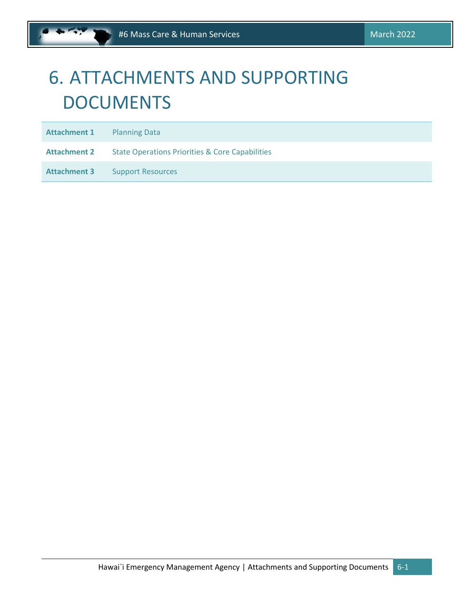# <span id="page-17-0"></span>6. ATTACHMENTS AND SUPPORTING **DOCUMENTS**

**Attachment 1** Planning Data

**Attachment 2** State Operations Priorities & Core Capabilities

Attachment 3 Support Resources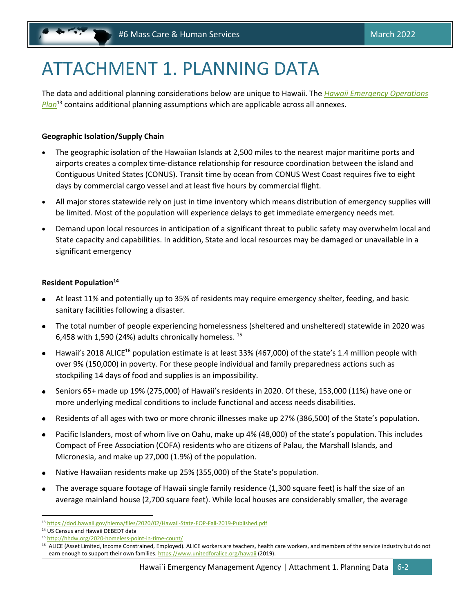# <span id="page-18-0"></span>ATTACHMENT 1. PLANNING DATA

The data and additional planning considerations below are unique to Hawaii. The *[Hawaii Emergency Operations](https://dod.hawaii.gov/hiema/files/2020/02/Hawaii-State-EOP-Fall-2019-Published.pdf)  [Plan](https://dod.hawaii.gov/hiema/files/2020/02/Hawaii-State-EOP-Fall-2019-Published.pdf)*<sup>13</sup> contains additional planning assumptions which are applicable across all annexes.

# **Geographic Isolation/Supply Chain**

- The geographic isolation of the Hawaiian Islands at 2,500 miles to the nearest major maritime ports and airports creates a complex time‐distance relationship for resource coordination between the island and Contiguous United States (CONUS). Transit time by ocean from CONUS West Coast requires five to eight days by commercial cargo vessel and at least five hours by commercial flight.
- All major stores statewide rely on just in time inventory which means distribution of emergency supplies will be limited. Most of the population will experience delays to get immediate emergency needs met.
- Demand upon local resources in anticipation of a significant threat to public safety may overwhelm local and State capacity and capabilities. In addition, State and local resources may be damaged or unavailable in a significant emergency

# **Resident Population<sup>14</sup>**

- At least 11% and potentially up to 35% of residents may require emergency shelter, feeding, and basic sanitary facilities following a disaster.
- The total number of people experiencing homelessness (sheltered and unsheltered) statewide in 2020 was 6,458 with 1,590 (24%) adults chronically homeless.  $^{15}$
- Hawaii's 2018 ALICE<sup>16</sup> population estimate is at least 33% (467,000) of the state's 1.4 million people with over 9% (150,000) in poverty. For these people individual and family preparedness actions such as stockpiling 14 days of food and supplies is an impossibility.
- Seniors 65+ made up 19% (275,000) of Hawaii's residents in 2020. Of these, 153,000 (11%) have one or more underlying medical conditions to include functional and access needs disabilities.
- Residents of all ages with two or more chronic illnesses make up 27% (386,500) of the State's population.
- Pacific Islanders, most of whom live on Oahu, make up 4% (48,000) of the state's population. This includes Compact of Free Association (COFA) residents who are citizens of Palau, the Marshall Islands, and Micronesia, and make up 27,000 (1.9%) of the population.
- Native Hawaiian residents make up 25% (355,000) of the State's population.
- The average square footage of Hawaii single family residence (1,300 square feet) is half the size of an average mainland house (2,700 square feet). While local houses are considerably smaller, the average

<sup>13</sup> <https://dod.hawaii.gov/hiema/files/2020/02/Hawaii-State-EOP-Fall-2019-Published.pdf>

<sup>14</sup> US Census and Hawaii DEBEDT data

<sup>15</sup> <http://hhdw.org/2020-homeless-point-in-time-count/>

<sup>&</sup>lt;sup>16</sup> ALICE (Asset Limited, Income Constrained, Employed). ALICE workers are teachers, health care workers, and members of the service industry but do not earn enough to support their own families. <https://www.unitedforalice.org/hawaii> (2019).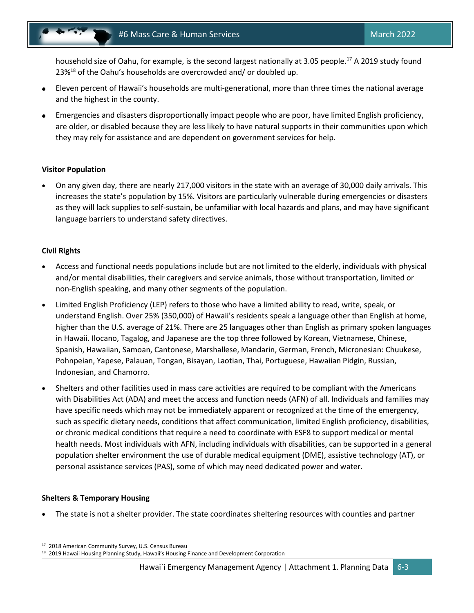household size of Oahu, for example, is the second largest nationally at 3.05 people.<sup>17</sup> A 2019 study found 23%<sup>18</sup> of the Oahu's households are overcrowded and/ or doubled up.

- Eleven percent of Hawaii's households are multi-generational, more than three times the national average  $\bullet$ and the highest in the county.
- Emergencies and disasters disproportionally impact people who are poor, have limited English proficiency, are older, or disabled because they are less likely to have natural supports in their communities upon which they may rely for assistance and are dependent on government services for help.

## **Visitor Population**

• On any given day, there are nearly 217,000 visitors in the state with an average of 30,000 daily arrivals. This increases the state's population by 15%. Visitors are particularly vulnerable during emergencies or disasters as they will lack supplies to self‐sustain, be unfamiliar with local hazards and plans, and may have significant language barriers to understand safety directives.

# **Civil Rights**

- Access and functional needs populations include but are not limited to the elderly, individuals with physical and/or mental disabilities, their caregivers and service animals, those without transportation, limited or non-English speaking, and many other segments of the population.
- Limited English Proficiency (LEP) refers to those who have a limited ability to read, write, speak, or understand English. Over 25% (350,000) of Hawaii's residents speak a language other than English at home, higher than the U.S. average of 21%. There are 25 languages other than English as primary spoken languages in Hawaii. Ilocano, Tagalog, and Japanese are the top three followed by Korean, Vietnamese, Chinese, Spanish, Hawaiian, Samoan, Cantonese, Marshallese, Mandarin, German, French, Micronesian: Chuukese, Pohnpeian, Yapese, Palauan, Tongan, Bisayan, Laotian, Thai, Portuguese, Hawaiian Pidgin, Russian, Indonesian, and Chamorro.
- Shelters and other facilities used in mass care activities are required to be compliant with the Americans with Disabilities Act (ADA) and meet the access and function needs (AFN) of all. Individuals and families may have specific needs which may not be immediately apparent or recognized at the time of the emergency, such as specific dietary needs, conditions that affect communication, limited English proficiency, disabilities, or chronic medical conditions that require a need to coordinate with ESF8 to support medical or mental health needs. Most individuals with AFN, including individuals with disabilities, can be supported in a general population shelter environment the use of durable medical equipment (DME), assistive technology (AT), or personal assistance services (PAS), some of which may need dedicated power and water.

### **Shelters & Temporary Housing**

• The state is not a shelter provider. The state coordinates sheltering resources with counties and partner

<sup>17</sup> 2018 American Community Survey, U.S. Census Bureau

<sup>18 2019</sup> Hawaii Housing Planning Study, Hawaii's Housing Finance and Development Corporation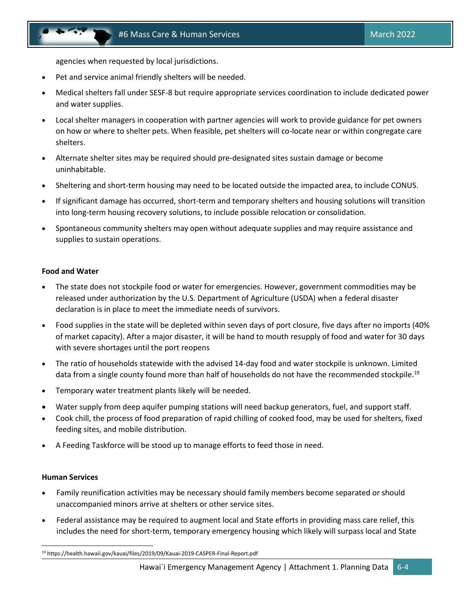agencies when requested by local jurisdictions.

- Pet and service animal friendly shelters will be needed.
- Medical shelters fall under SESF-8 but require appropriate services coordination to include dedicated power and water supplies.
- Local shelter managers in cooperation with partner agencies will work to provide guidance for pet owners on how or where to shelter pets. When feasible, pet shelters will co-locate near or within congregate care shelters.
- Alternate shelter sites may be required should pre-designated sites sustain damage or become uninhabitable.
- Sheltering and short-term housing may need to be located outside the impacted area, to include CONUS.
- If significant damage has occurred, short-term and temporary shelters and housing solutions will transition into long-term housing recovery solutions, to include possible relocation or consolidation.
- Spontaneous community shelters may open without adequate supplies and may require assistance and supplies to sustain operations.

#### **Food and Water**

- The state does not stockpile food or water for emergencies. However, government commodities may be released under authorization by the U.S. Department of Agriculture (USDA) when a federal disaster declaration is in place to meet the immediate needs of survivors.
- Food supplies in the state will be depleted within seven days of port closure, five days after no imports (40% of market capacity). After a major disaster, it will be hand to mouth resupply of food and water for 30 days with severe shortages until the port reopens
- The ratio of households statewide with the advised 14-day food and water stockpile is unknown. Limited data from a single county found more than half of households do not have the recommended stockpile.<sup>19</sup>
- Temporary water treatment plants likely will be needed.
- Water supply from deep aquifer pumping stations will need backup generators, fuel, and support staff.
- Cook chill, the process of food preparation of rapid chilling of cooked food, may be used for shelters, fixed feeding sites, and mobile distribution.
- A Feeding Taskforce will be stood up to manage efforts to feed those in need.

### **Human Services**

- Family reunification activities may be necessary should family members become separated or should unaccompanied minors arrive at shelters or other service sites.
- Federal assistance may be required to augment local and State efforts in providing mass care relief, this includes the need for short-term, temporary emergency housing which likely will surpass local and State

<sup>19</sup> https://health.hawaii.gov/kauai/files/2019/09/Kauai-2019-CASPER-Final-Report.pdf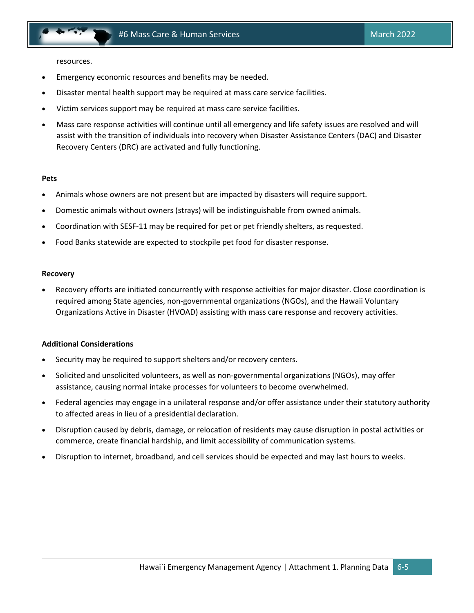resources.

- Emergency economic resources and benefits may be needed.
- Disaster mental health support may be required at mass care service facilities.
- Victim services support may be required at mass care service facilities.
- Mass care response activities will continue until all emergency and life safety issues are resolved and will assist with the transition of individuals into recovery when Disaster Assistance Centers (DAC) and Disaster Recovery Centers (DRC) are activated and fully functioning.

#### **Pets**

- Animals whose owners are not present but are impacted by disasters will require support.
- Domestic animals without owners (strays) will be indistinguishable from owned animals.
- Coordination with SESF-11 may be required for pet or pet friendly shelters, as requested.
- Food Banks statewide are expected to stockpile pet food for disaster response.

#### **Recovery**

• Recovery efforts are initiated concurrently with response activities for major disaster. Close coordination is required among State agencies, non-governmental organizations (NGOs), and the Hawaii Voluntary Organizations Active in Disaster (HVOAD) assisting with mass care response and recovery activities.

#### **Additional Considerations**

- Security may be required to support shelters and/or recovery centers.
- Solicited and unsolicited volunteers, as well as non-governmental organizations (NGOs), may offer assistance, causing normal intake processes for volunteers to become overwhelmed.
- Federal agencies may engage in a unilateral response and/or offer assistance under their statutory authority to affected areas in lieu of a presidential declaration.
- Disruption caused by debris, damage, or relocation of residents may cause disruption in postal activities or commerce, create financial hardship, and limit accessibility of communication systems.
- Disruption to internet, broadband, and cell services should be expected and may last hours to weeks.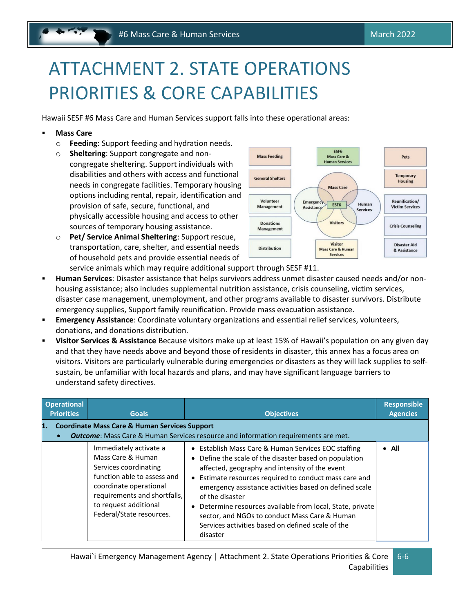# <span id="page-22-0"></span>ATTACHMENT 2. STATE OPERATIONS PRIORITIES & CORE CAPABILITIES

Hawaii SESF #6 Mass Care and Human Services support falls into these operational areas:

## **Mass Care**

- o **Feeding**: Support feeding and hydration needs.
- o **Sheltering**: Support congregate and noncongregate sheltering. Support individuals with disabilities and others with access and functional needs in congregate facilities. Temporary housing options including rental, repair, identification and provision of safe, secure, functional, and physically accessible housing and access to other sources of temporary housing assistance.
- o **Pet/ Service Animal Sheltering**: Support rescue, transportation, care, shelter, and essential needs of household pets and provide essential needs of



service animals which may require additional support through SESF #11.

- **Human Services**: Disaster assistance that helps survivors address unmet disaster caused needs and/or nonhousing assistance; also includes supplemental nutrition assistance, crisis counseling, victim services, disaster case management, unemployment, and other programs available to disaster survivors. Distribute emergency supplies, Support family reunification. Provide mass evacuation assistance.
- **Emergency Assistance**: Coordinate voluntary organizations and essential relief services, volunteers, donations, and donations distribution.
- **Visitor Services & Assistance** Because visitors make up at least 15% of Hawaii's population on any given day and that they have needs above and beyond those of residents in disaster, this annex has a focus area on visitors. Visitors are particularly vulnerable during emergencies or disasters as they will lack supplies to self‐ sustain, be unfamiliar with local hazards and plans, and may have significant language barriers to understand safety directives.

| <b>Operational</b><br><b>Priorities</b> | <b>Goals</b>                                                                                                                                                                                                       | <b>Objectives</b>                                                                                                                                                                                                                                                                                                                                                                                                                                                                      | <b>Responsible</b><br><b>Agencies</b> |  |  |
|-----------------------------------------|--------------------------------------------------------------------------------------------------------------------------------------------------------------------------------------------------------------------|----------------------------------------------------------------------------------------------------------------------------------------------------------------------------------------------------------------------------------------------------------------------------------------------------------------------------------------------------------------------------------------------------------------------------------------------------------------------------------------|---------------------------------------|--|--|
| 1.                                      | <b>Coordinate Mass Care &amp; Human Services Support</b><br><b>Outcome:</b> Mass Care & Human Services resource and information requirements are met.                                                              |                                                                                                                                                                                                                                                                                                                                                                                                                                                                                        |                                       |  |  |
|                                         | Immediately activate a<br>Mass Care & Human<br>Services coordinating<br>function able to assess and<br>coordinate operational<br>requirements and shortfalls,<br>to request additional<br>Federal/State resources. | • Establish Mass Care & Human Services EOC staffing<br>• Define the scale of the disaster based on population<br>affected, geography and intensity of the event<br>• Estimate resources required to conduct mass care and<br>emergency assistance activities based on defined scale<br>of the disaster<br>• Determine resources available from local, State, private<br>sector, and NGOs to conduct Mass Care & Human<br>Services activities based on defined scale of the<br>disaster | $\bullet$ All                         |  |  |

6-6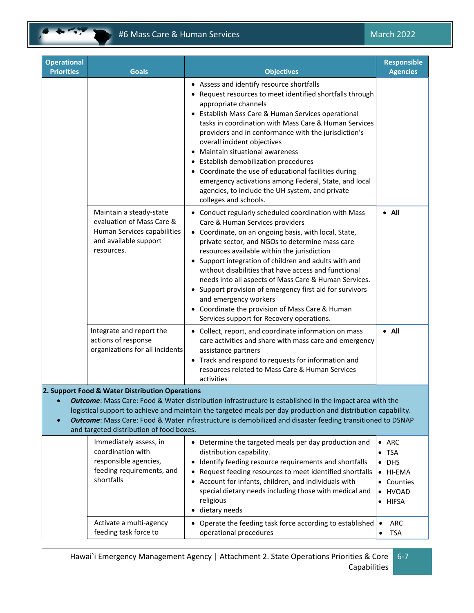

| <b>Operational</b><br><b>Priorities</b>                                                                                                                                                                                                                                                                                                                                                                                              | <b>Goals</b>                                                                                                                               | <b>Objectives</b>                                                                                                                                                                                                                                                                                                                                                                                                                                                                                                                                                                                                 | <b>Responsible</b><br><b>Agencies</b>                                                                                                                                                  |  |
|--------------------------------------------------------------------------------------------------------------------------------------------------------------------------------------------------------------------------------------------------------------------------------------------------------------------------------------------------------------------------------------------------------------------------------------|--------------------------------------------------------------------------------------------------------------------------------------------|-------------------------------------------------------------------------------------------------------------------------------------------------------------------------------------------------------------------------------------------------------------------------------------------------------------------------------------------------------------------------------------------------------------------------------------------------------------------------------------------------------------------------------------------------------------------------------------------------------------------|----------------------------------------------------------------------------------------------------------------------------------------------------------------------------------------|--|
|                                                                                                                                                                                                                                                                                                                                                                                                                                      |                                                                                                                                            | • Assess and identify resource shortfalls<br>• Request resources to meet identified shortfalls through<br>appropriate channels<br>• Establish Mass Care & Human Services operational<br>tasks in coordination with Mass Care & Human Services<br>providers and in conformance with the jurisdiction's<br>overall incident objectives<br>• Maintain situational awareness<br>• Establish demobilization procedures<br>• Coordinate the use of educational facilities during<br>emergency activations among Federal, State, and local<br>agencies, to include the UH system, and private<br>colleges and schools.   |                                                                                                                                                                                        |  |
|                                                                                                                                                                                                                                                                                                                                                                                                                                      | Maintain a steady-state<br>evaluation of Mass Care &<br>Human Services capabilities<br>and available support<br>resources.                 | • Conduct regularly scheduled coordination with Mass<br>Care & Human Services providers<br>• Coordinate, on an ongoing basis, with local, State,<br>private sector, and NGOs to determine mass care<br>resources available within the jurisdiction<br>• Support integration of children and adults with and<br>without disabilities that have access and functional<br>needs into all aspects of Mass Care & Human Services.<br>• Support provision of emergency first aid for survivors<br>and emergency workers<br>• Coordinate the provision of Mass Care & Human<br>Services support for Recovery operations. | $\bullet$ All                                                                                                                                                                          |  |
|                                                                                                                                                                                                                                                                                                                                                                                                                                      | Integrate and report the<br>actions of response<br>organizations for all incidents                                                         | • Collect, report, and coordinate information on mass<br>care activities and share with mass care and emergency<br>assistance partners<br>• Track and respond to requests for information and<br>resources related to Mass Care & Human Services<br>activities                                                                                                                                                                                                                                                                                                                                                    | $\bullet$ All                                                                                                                                                                          |  |
| 2. Support Food & Water Distribution Operations<br>Outcome: Mass Care: Food & Water distribution infrastructure is established in the impact area with the<br>logistical support to achieve and maintain the targeted meals per day production and distribution capability.<br>Outcome: Mass Care: Food & Water infrastructure is demobilized and disaster feeding transitioned to DSNAP<br>and targeted distribution of food boxes. |                                                                                                                                            |                                                                                                                                                                                                                                                                                                                                                                                                                                                                                                                                                                                                                   |                                                                                                                                                                                        |  |
|                                                                                                                                                                                                                                                                                                                                                                                                                                      | Immediately assess, in<br>coordination with<br>responsible agencies,<br>feeding requirements, and<br>shortfalls<br>Activate a multi-agency | • Determine the targeted meals per day production and<br>distribution capability.<br>Identify feeding resource requirements and shortfalls<br>Request feeding resources to meet identified shortfalls<br>Account for infants, children, and individuals with<br>special dietary needs including those with medical and<br>religious<br>dietary needs<br>$\bullet$<br>• Operate the feeding task force according to established                                                                                                                                                                                    | ARC<br>$\bullet$<br><b>TSA</b><br>$\bullet$<br><b>DHS</b><br>٠<br>HI-EMA<br>$\bullet$<br>Counties<br><b>HVOAD</b><br>$\bullet$<br><b>HIFSA</b><br>$\bullet$<br><b>ARC</b><br>$\bullet$ |  |
|                                                                                                                                                                                                                                                                                                                                                                                                                                      | feeding task force to                                                                                                                      | operational procedures                                                                                                                                                                                                                                                                                                                                                                                                                                                                                                                                                                                            | <b>TSA</b><br>٠                                                                                                                                                                        |  |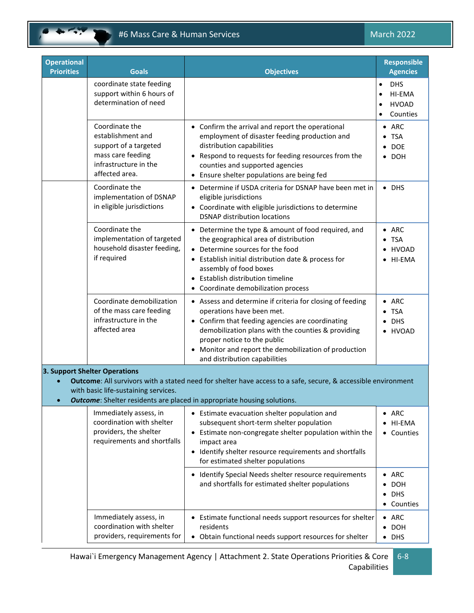# #6 Mass Care & Human Services March 2022

| <b>Operational</b><br><b>Priorities</b> | <b>Goals</b>                                                                                                                 | <b>Objectives</b>                                                                                                                                                                                                                                                                                                       | <b>Responsible</b><br><b>Agencies</b>                                      |
|-----------------------------------------|------------------------------------------------------------------------------------------------------------------------------|-------------------------------------------------------------------------------------------------------------------------------------------------------------------------------------------------------------------------------------------------------------------------------------------------------------------------|----------------------------------------------------------------------------|
|                                         | coordinate state feeding<br>support within 6 hours of<br>determination of need                                               |                                                                                                                                                                                                                                                                                                                         | <b>DHS</b><br>$\bullet$<br>HI-EMA<br>$\bullet$<br><b>HVOAD</b><br>Counties |
|                                         | Coordinate the<br>establishment and<br>support of a targeted<br>mass care feeding<br>infrastructure in the<br>affected area. | • Confirm the arrival and report the operational<br>employment of disaster feeding production and<br>distribution capabilities<br>• Respond to requests for feeding resources from the<br>counties and supported agencies<br>• Ensure shelter populations are being fed                                                 | $\bullet$ ARC<br>$\bullet$ TSA<br>$\bullet$ DOE<br>$\bullet$ DOH           |
|                                         | Coordinate the<br>implementation of DSNAP<br>in eligible jurisdictions                                                       | • Determine if USDA criteria for DSNAP have been met in<br>eligible jurisdictions<br>• Coordinate with eligible jurisdictions to determine<br><b>DSNAP distribution locations</b>                                                                                                                                       | $\bullet$ DHS                                                              |
|                                         | Coordinate the<br>implementation of targeted<br>household disaster feeding,<br>if required                                   | • Determine the type & amount of food required, and<br>the geographical area of distribution<br>• Determine sources for the food<br>• Establish initial distribution date & process for<br>assembly of food boxes<br>Establish distribution timeline<br>• Coordinate demobilization process                             | $\bullet$ ARC<br>$\bullet$ TSA<br><b>HVOAD</b><br>HI-EMA                   |
|                                         | Coordinate demobilization<br>of the mass care feeding<br>infrastructure in the<br>affected area                              | • Assess and determine if criteria for closing of feeding<br>operations have been met.<br>• Confirm that feeding agencies are coordinating<br>demobilization plans with the counties & providing<br>proper notice to the public<br>Monitor and report the demobilization of production<br>and distribution capabilities | $\bullet$ ARC<br>$\bullet$ TSA<br>$\bullet$ DHS<br>• HVOAD                 |
| $\bullet$                               | 3. Support Shelter Operations<br>with basic life-sustaining services.                                                        | Outcome: All survivors with a stated need for shelter have access to a safe, secure, & accessible environment<br><b>Outcome:</b> Shelter residents are placed in appropriate housing solutions.                                                                                                                         |                                                                            |
|                                         | Immediately assess, in<br>coordination with shelter<br>providers, the shelter<br>requirements and shortfalls                 | • Estimate evacuation shelter population and<br>subsequent short-term shelter population<br>Estimate non-congregate shelter population within the<br>impact area<br>• Identify shelter resource requirements and shortfalls<br>for estimated shelter populations                                                        | $\bullet$ ARC<br>• HI-EMA<br>• Counties                                    |
|                                         |                                                                                                                              | Identify Special Needs shelter resource requirements<br>and shortfalls for estimated shelter populations                                                                                                                                                                                                                | $\bullet$ ARC<br><b>DOH</b><br>٠<br>$\bullet$ DHS<br>• Counties            |
|                                         | Immediately assess, in<br>coordination with shelter<br>providers, requirements for                                           | • Estimate functional needs support resources for shelter<br>residents<br>• Obtain functional needs support resources for shelter                                                                                                                                                                                       | $\bullet$ ARC<br>$\bullet$ DOH<br>$\bullet$ DHS                            |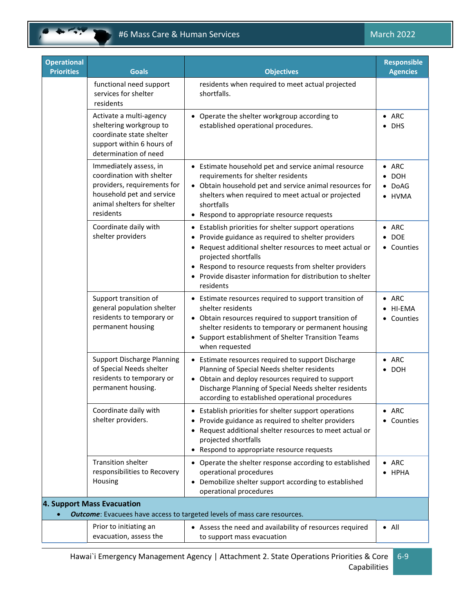# #6 Mass Care & Human Services March 2022

| <b>Operational</b><br><b>Priorities</b> | <b>Goals</b>                                                                                                                                                | <b>Objectives</b>                                                                                                                                                                                                                                                                                                                             | <b>Responsible</b><br><b>Agencies</b>                   |
|-----------------------------------------|-------------------------------------------------------------------------------------------------------------------------------------------------------------|-----------------------------------------------------------------------------------------------------------------------------------------------------------------------------------------------------------------------------------------------------------------------------------------------------------------------------------------------|---------------------------------------------------------|
|                                         | functional need support<br>services for shelter<br>residents                                                                                                | residents when required to meet actual projected<br>shortfalls.                                                                                                                                                                                                                                                                               |                                                         |
|                                         | Activate a multi-agency<br>sheltering workgroup to<br>coordinate state shelter<br>support within 6 hours of<br>determination of need                        | • Operate the shelter workgroup according to<br>established operational procedures.                                                                                                                                                                                                                                                           | $\bullet$ ARC<br><b>DHS</b><br>$\bullet$                |
|                                         | Immediately assess, in<br>coordination with shelter<br>providers, requirements for<br>household pet and service<br>animal shelters for shelter<br>residents | • Estimate household pet and service animal resource<br>requirements for shelter residents<br>• Obtain household pet and service animal resources for<br>shelters when required to meet actual or projected<br>shortfalls<br>Respond to appropriate resource requests<br>$\bullet$                                                            | $\bullet$ ARC<br><b>DOH</b><br>$\bullet$ DoAG<br>• HVMA |
|                                         | Coordinate daily with<br>shelter providers                                                                                                                  | • Establish priorities for shelter support operations<br>Provide guidance as required to shelter providers<br>Request additional shelter resources to meet actual or<br>$\bullet$<br>projected shortfalls<br>• Respond to resource requests from shelter providers<br>• Provide disaster information for distribution to shelter<br>residents | $\bullet$ ARC<br>$\bullet$ DOE<br>• Counties            |
|                                         | Support transition of<br>general population shelter<br>residents to temporary or<br>permanent housing                                                       | • Estimate resources required to support transition of<br>shelter residents<br>• Obtain resources required to support transition of<br>shelter residents to temporary or permanent housing<br>• Support establishment of Shelter Transition Teams<br>when requested                                                                           | $\bullet$ ARC<br>• HI-EMA<br>• Counties                 |
|                                         | <b>Support Discharge Planning</b><br>of Special Needs shelter<br>residents to temporary or<br>permanent housing.                                            | • Estimate resources required to support Discharge<br>Planning of Special Needs shelter residents<br>• Obtain and deploy resources required to support<br>Discharge Planning of Special Needs shelter residents<br>according to established operational procedures                                                                            | $\bullet$ ARC<br><b>DOH</b>                             |
|                                         | Coordinate daily with<br>shelter providers.                                                                                                                 | • Establish priorities for shelter support operations<br>Provide guidance as required to shelter providers<br>Request additional shelter resources to meet actual or<br>projected shortfalls<br>Respond to appropriate resource requests                                                                                                      | $\bullet$ ARC<br>• Counties                             |
|                                         | <b>Transition shelter</b><br>responsibilities to Recovery<br>Housing                                                                                        | • Operate the shelter response according to established<br>operational procedures<br>• Demobilize shelter support according to established<br>operational procedures                                                                                                                                                                          | $\bullet$ ARC<br><b>HPHA</b>                            |
|                                         | 4. Support Mass Evacuation                                                                                                                                  | <b>Outcome:</b> Evacuees have access to targeted levels of mass care resources.                                                                                                                                                                                                                                                               |                                                         |
|                                         | Prior to initiating an<br>evacuation, assess the                                                                                                            | • Assess the need and availability of resources required<br>to support mass evacuation                                                                                                                                                                                                                                                        | $\bullet$ All                                           |

Hawai`i Emergency Management Agency | Attachment 2. State Operations Priorities & Core | 6-9 Capabilities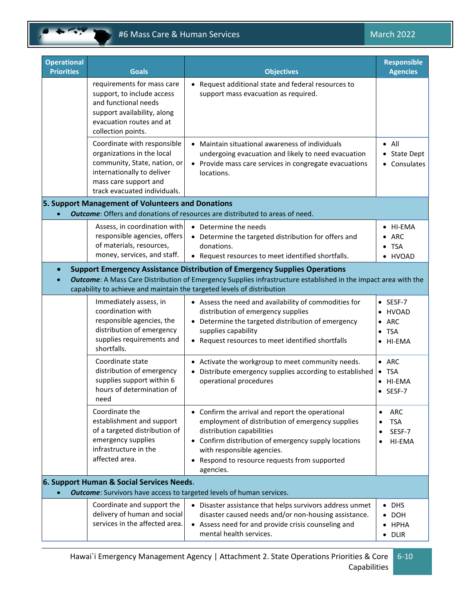# #6 Mass Care & Human Services March 2022

| <b>Operational</b>                                                          |                                                                                                                                                                                  |                                                                                                                                                                                                                                                                                     | <b>Responsible</b>                                                                 |  |
|-----------------------------------------------------------------------------|----------------------------------------------------------------------------------------------------------------------------------------------------------------------------------|-------------------------------------------------------------------------------------------------------------------------------------------------------------------------------------------------------------------------------------------------------------------------------------|------------------------------------------------------------------------------------|--|
| <b>Priorities</b>                                                           | <b>Goals</b>                                                                                                                                                                     | <b>Objectives</b>                                                                                                                                                                                                                                                                   | <b>Agencies</b>                                                                    |  |
|                                                                             | requirements for mass care<br>support, to include access<br>and functional needs<br>support availability, along<br>evacuation routes and at<br>collection points.                | • Request additional state and federal resources to<br>support mass evacuation as required.                                                                                                                                                                                         |                                                                                    |  |
|                                                                             | Coordinate with responsible<br>organizations in the local<br>community, State, nation, or<br>internationally to deliver<br>mass care support and<br>track evacuated individuals. | • Maintain situational awareness of individuals<br>undergoing evacuation and likely to need evacuation<br>• Provide mass care services in congregate evacuations<br>locations.                                                                                                      | $\bullet$ All<br>• State Dept<br>• Consulates                                      |  |
|                                                                             | 5. Support Management of Volunteers and Donations                                                                                                                                |                                                                                                                                                                                                                                                                                     |                                                                                    |  |
|                                                                             |                                                                                                                                                                                  | <b>Outcome:</b> Offers and donations of resources are distributed to areas of need.                                                                                                                                                                                                 |                                                                                    |  |
|                                                                             | Assess, in coordination with<br>responsible agencies, offers<br>of materials, resources,<br>money, services, and staff.                                                          | • Determine the needs<br>• Determine the targeted distribution for offers and<br>donations.<br>• Request resources to meet identified shortfalls.                                                                                                                                   | HI-EMA<br>ARC<br>$\bullet$ TSA<br>· HVOAD                                          |  |
| $\bullet$                                                                   |                                                                                                                                                                                  | <b>Support Emergency Assistance Distribution of Emergency Supplies Operations</b>                                                                                                                                                                                                   |                                                                                    |  |
|                                                                             |                                                                                                                                                                                  | <b>Outcome:</b> A Mass Care Distribution of Emergency Supplies infrastructure established in the impact area with the<br>capability to achieve and maintain the targeted levels of distribution                                                                                     |                                                                                    |  |
|                                                                             | Immediately assess, in<br>coordination with<br>responsible agencies, the<br>distribution of emergency<br>supplies requirements and<br>shortfalls.                                | • Assess the need and availability of commodities for<br>distribution of emergency supplies<br>• Determine the targeted distribution of emergency<br>supplies capability<br>• Request resources to meet identified shortfalls                                                       | $\bullet$ SESF-7<br>HVOAD<br>ARC<br>$\bullet$<br><b>TSA</b><br>$\bullet$<br>HI-EMA |  |
|                                                                             | Coordinate state<br>distribution of emergency<br>supplies support within 6<br>hours of determination of<br>need                                                                  | • Activate the workgroup to meet community needs.<br>Distribute emergency supplies according to established<br>operational procedures                                                                                                                                               | $\bullet$ ARC<br><b>TSA</b><br>HI-EMA<br>SESF-7                                    |  |
|                                                                             | Coordinate the<br>establishment and support<br>of a targeted distribution of<br>emergency supplies<br>infrastructure in the<br>affected area.                                    | • Confirm the arrival and report the operational<br>employment of distribution of emergency supplies<br>distribution capabilities<br>• Confirm distribution of emergency supply locations<br>with responsible agencies.<br>Respond to resource requests from supported<br>agencies. | ARC<br>$\bullet$<br><b>TSA</b><br>SESF-7<br>HI-EMA                                 |  |
|                                                                             | 6. Support Human & Social Services Needs.                                                                                                                                        |                                                                                                                                                                                                                                                                                     |                                                                                    |  |
| <b>Outcome:</b> Survivors have access to targeted levels of human services. |                                                                                                                                                                                  |                                                                                                                                                                                                                                                                                     |                                                                                    |  |
|                                                                             | Coordinate and support the<br>delivery of human and social<br>services in the affected area.                                                                                     | Disaster assistance that helps survivors address unmet<br>disaster caused needs and/or non-housing assistance.<br>• Assess need for and provide crisis counseling and<br>mental health services.                                                                                    | <b>DHS</b><br><b>DOH</b><br><b>HPHA</b><br>$\bullet$ DLIR                          |  |
|                                                                             |                                                                                                                                                                                  |                                                                                                                                                                                                                                                                                     |                                                                                    |  |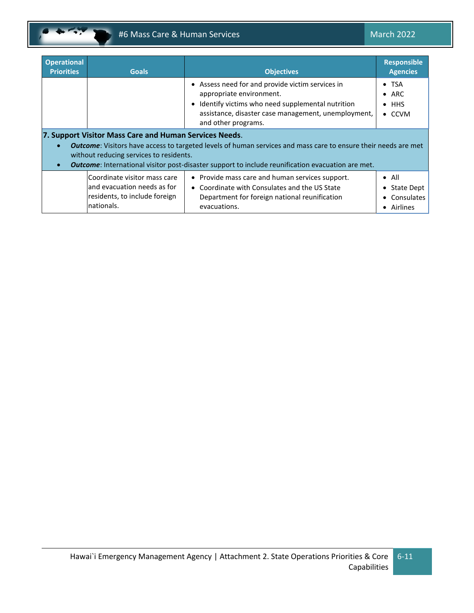

| <b>Operational</b><br><b>Priorities</b>                                                                                                                                                                                                                                                                                                                          | <b>Goals</b>                                                                                               | <b>Objectives</b>                                                                                                                                                                                              | <b>Responsible</b><br><b>Agencies</b>                             |
|------------------------------------------------------------------------------------------------------------------------------------------------------------------------------------------------------------------------------------------------------------------------------------------------------------------------------------------------------------------|------------------------------------------------------------------------------------------------------------|----------------------------------------------------------------------------------------------------------------------------------------------------------------------------------------------------------------|-------------------------------------------------------------------|
|                                                                                                                                                                                                                                                                                                                                                                  |                                                                                                            | • Assess need for and provide victim services in<br>appropriate environment.<br>Identify victims who need supplemental nutrition<br>assistance, disaster case management, unemployment,<br>and other programs. | $\bullet$ TSA<br>$\bullet$ ARC<br>$\bullet$ HHS<br>$\bullet$ CCVM |
| 7. Support Visitor Mass Care and Human Services Needs.<br><b>Outcome:</b> Visitors have access to targeted levels of human services and mass care to ensure their needs are met<br>$\bullet$<br>without reducing services to residents.<br><b>Outcome:</b> International visitor post-disaster support to include reunification evacuation are met.<br>$\bullet$ |                                                                                                            |                                                                                                                                                                                                                |                                                                   |
|                                                                                                                                                                                                                                                                                                                                                                  | Coordinate visitor mass care<br>and evacuation needs as for<br>residents, to include foreign<br>nationals. | • Provide mass care and human services support.<br>• Coordinate with Consulates and the US State<br>Department for foreign national reunification<br>evacuations.                                              | $\bullet$ All<br>State Dept<br>Consulates<br>• Airlines           |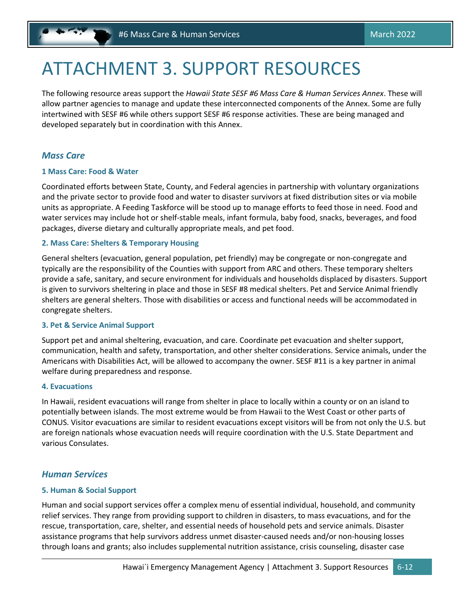# <span id="page-28-0"></span>ATTACHMENT 3. SUPPORT RESOURCES

The following resource areas support the *Hawaii State SESF #6 Mass Care & Human Services Annex*. These will allow partner agencies to manage and update these interconnected components of the Annex. Some are fully intertwined with SESF #6 while others support SESF #6 response activities. These are being managed and developed separately but in coordination with this Annex.

# *Mass Care*

### **1 Mass Care: Food & Water**

Coordinated efforts between State, County, and Federal agencies in partnership with voluntary organizations and the private sector to provide food and water to disaster survivors at fixed distribution sites or via mobile units as appropriate. A Feeding Taskforce will be stood up to manage efforts to feed those in need. Food and water services may include hot or shelf-stable meals, infant formula, baby food, snacks, beverages, and food packages, diverse dietary and culturally appropriate meals, and pet food.

### **2. Mass Care: Shelters & Temporary Housing**

General shelters (evacuation, general population, pet friendly) may be congregate or non-congregate and typically are the responsibility of the Counties with support from ARC and others. These temporary shelters provide a safe, sanitary, and secure environment for individuals and households displaced by disasters. Support is given to survivors sheltering in place and those in SESF #8 medical shelters. Pet and Service Animal friendly shelters are general shelters. Those with disabilities or access and functional needs will be accommodated in congregate shelters.

### **3. Pet & Service Animal Support**

Support pet and animal sheltering, evacuation, and care. Coordinate pet evacuation and shelter support, communication, health and safety, transportation, and other shelter considerations. Service animals, under the Americans with Disabilities Act, will be allowed to accompany the owner. SESF #11 is a key partner in animal welfare during preparedness and response.

### **4. Evacuations**

In Hawaii, resident evacuations will range from shelter in place to locally within a county or on an island to potentially between islands. The most extreme would be from Hawaii to the West Coast or other parts of CONUS. Visitor evacuations are similar to resident evacuations except visitors will be from not only the U.S. but are foreign nationals whose evacuation needs will require coordination with the U.S. State Department and various Consulates.

# *Human Services*

# **5. Human & Social Support**

Human and social support services offer a complex menu of essential individual, household, and community relief services. They range from providing support to children in disasters, to mass evacuations, and for the rescue, transportation, care, shelter, and essential needs of household pets and service animals. Disaster assistance programs that help survivors address unmet disaster-caused needs and/or non-housing losses through loans and grants; also includes supplemental nutrition assistance, crisis counseling, disaster case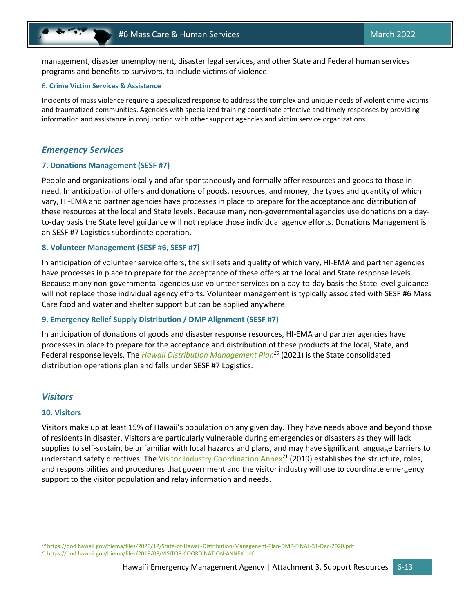management, disaster unemployment, disaster legal services, and other State and Federal human services programs and benefits to survivors, to include victims of violence.

#### 6. **Crime Victim Services & Assistance**

Incidents of mass violence require a specialized response to address the complex and unique needs of violent crime victims and traumatized communities. Agencies with specialized training coordinate effective and timely responses by providing information and assistance in conjunction with other support agencies and victim service organizations.

### *Emergency Services*

#### **7. Donations Management (SESF #7)**

People and organizations locally and afar spontaneously and formally offer resources and goods to those in need. In anticipation of offers and donations of goods, resources, and money, the types and quantity of which vary, HI-EMA and partner agencies have processes in place to prepare for the acceptance and distribution of these resources at the local and State levels. Because many non-governmental agencies use donations on a dayto-day basis the State level guidance will not replace those individual agency efforts. Donations Management is an SESF #7 Logistics subordinate operation.

#### **8. Volunteer Management (SESF #6, SESF #7)**

In anticipation of volunteer service offers, the skill sets and quality of which vary, HI-EMA and partner agencies have processes in place to prepare for the acceptance of these offers at the local and State response levels. Because many non-governmental agencies use volunteer services on a day-to-day basis the State level guidance will not replace those individual agency efforts. Volunteer management is typically associated with SESF #6 Mass Care food and water and shelter support but can be applied anywhere.

### **9. Emergency Relief Supply Distribution / DMP Alignment (SESF #7)**

In anticipation of donations of goods and disaster response resources, HI-EMA and partner agencies have processes in place to prepare for the acceptance and distribution of these products at the local, State, and Federal response levels. The *Hawaii [Distribution Management Plan](https://dod.hawaii.gov/hiema/files/2020/12/State-of-Hawaii-Distribution-Managenent-Plan-DMP-FINAL-31-Dec-2020.pdf)<sup>20</sup>* (2021) is the State consolidated distribution operations plan and falls under SESF #7 Logistics.

## *Visitors*

#### **10. Visitors**

Visitors make up at least 15% of Hawaii's population on any given day. They have needs above and beyond those of residents in disaster. Visitors are particularly vulnerable during emergencies or disasters as they will lack supplies to self‐sustain, be unfamiliar with local hazards and plans, and may have significant language barriers to understand safety directives. The *Visitor Industry Coordination Annex*<sup>21</sup> (2019) establishes the structure, roles, and responsibilities and procedures that government and the visitor industry will use to coordinate emergency support to the visitor population and relay information and needs.

<sup>20</sup> <https://dod.hawaii.gov/hiema/files/2020/12/State-of-Hawaii-Distribution-Managenent-Plan-DMP-FINAL-31-Dec-2020.pdf>

<sup>21</sup> <https://dod.hawaii.gov/hiema/files/2019/08/VISITOR-COORDINATION-ANNEX.pdf>